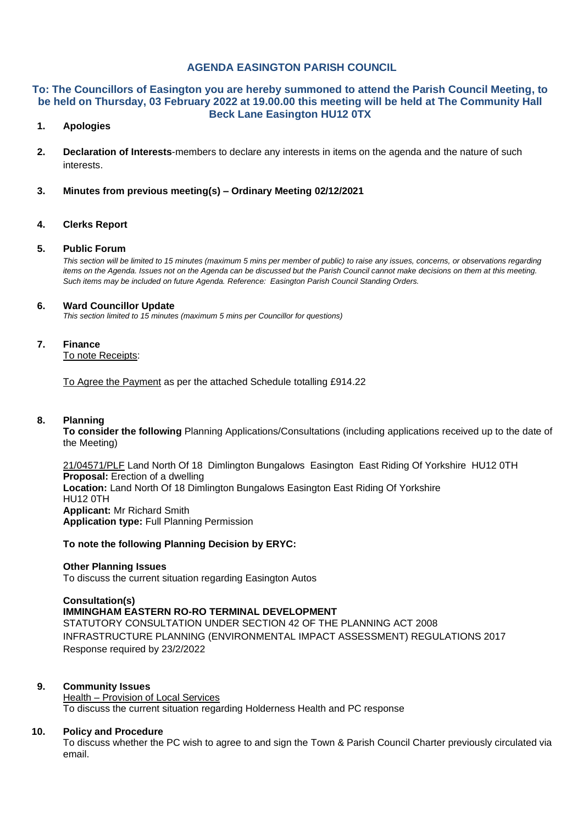## **AGENDA EASINGTON PARISH COUNCIL**

#### **To: The Councillors of Easington you are hereby summoned to attend the Parish Council Meeting, to be held on Thursday, 03 February 2022 at 19.00.00 this meeting will be held at The Community Hall Beck Lane Easington HU12 0TX**

## **1. Apologies**

- **2. Declaration of Interests**-members to declare any interests in items on the agenda and the nature of such interests.
- **3. Minutes from previous meeting(s) – Ordinary Meeting 02/12/2021**

## **4. Clerks Report**

#### **5. Public Forum**

*This section will be limited to 15 minutes (maximum 5 mins per member of public) to raise any issues, concerns, or observations regarding items on the Agenda. Issues not on the Agenda can be discussed but the Parish Council cannot make decisions on them at this meeting. Such items may be included on future Agenda. Reference: Easington Parish Council Standing Orders.*

#### **6. Ward Councillor Update**

*This section limited to 15 minutes (maximum 5 mins per Councillor for questions)*

#### **7. Finance**

To note Receipts:

To Agree the Payment as per the attached Schedule totalling £914.22

#### **8. Planning**

**To consider the following** Planning Applications/Consultations (including applications received up to the date of the Meeting)

21/04571/PLF Land North Of 18 Dimlington Bungalows Easington East Riding Of Yorkshire HU12 0TH **Proposal:** Erection of a dwelling **Location:** Land North Of 18 Dimlington Bungalows Easington East Riding Of Yorkshire HU12 0TH **Applicant:** Mr Richard Smith **Application type:** Full Planning Permission

## **To note the following Planning Decision by ERYC:**

#### **Other Planning Issues**

To discuss the current situation regarding Easington Autos

## **Consultation(s)**

**IMMINGHAM EASTERN RO-RO TERMINAL DEVELOPMENT** STATUTORY CONSULTATION UNDER SECTION 42 OF THE PLANNING ACT 2008 INFRASTRUCTURE PLANNING (ENVIRONMENTAL IMPACT ASSESSMENT) REGULATIONS 2017 Response required by 23/2/2022

## **9. Community Issues**

Health – Provision of Local Services To discuss the current situation regarding Holderness Health and PC response

## **10. Policy and Procedure**

To discuss whether the PC wish to agree to and sign the Town & Parish Council Charter previously circulated via email.